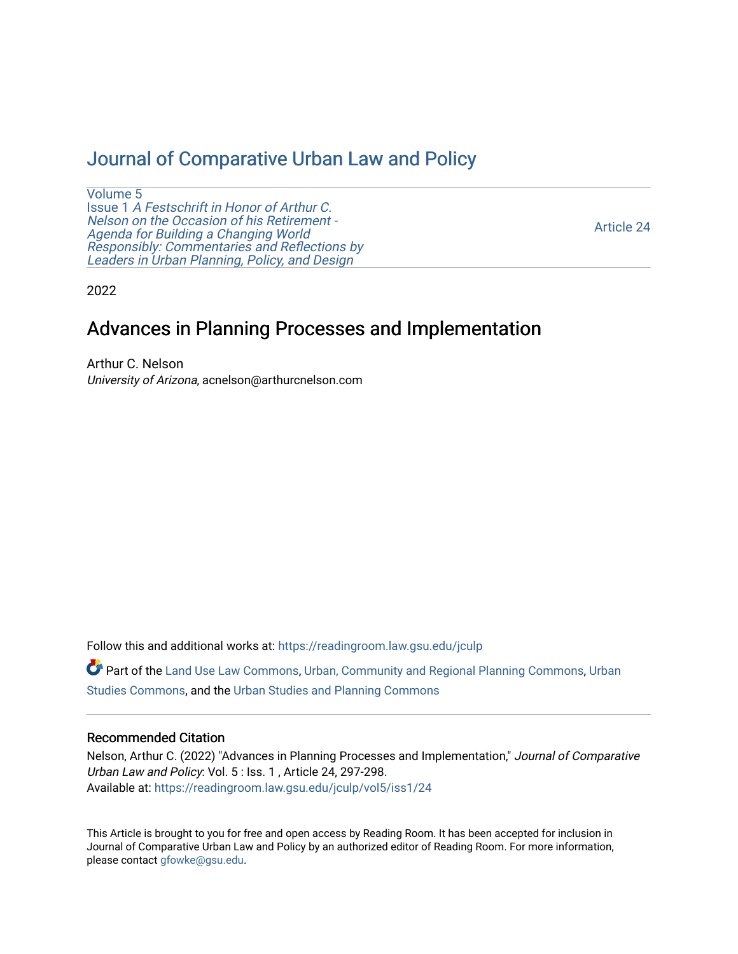## [Journal of Comparative Urban Law and Policy](https://readingroom.law.gsu.edu/jculp)

[Volume 5](https://readingroom.law.gsu.edu/jculp/vol5) Issue 1 [A Festschrift in Honor of Arthur C.](https://readingroom.law.gsu.edu/jculp/vol5/iss1) [Nelson on the Occasion of his Retirement -](https://readingroom.law.gsu.edu/jculp/vol5/iss1)  [Agenda for Building a Changing World](https://readingroom.law.gsu.edu/jculp/vol5/iss1)  [Responsibly: Commentaries and Reflections by](https://readingroom.law.gsu.edu/jculp/vol5/iss1) [Leaders in Urban Planning, Policy, and Design](https://readingroom.law.gsu.edu/jculp/vol5/iss1) 

[Article 24](https://readingroom.law.gsu.edu/jculp/vol5/iss1/24) 

2022

## Advances in Planning Processes and Implementation

Arthur C. Nelson University of Arizona, acnelson@arthurcnelson.com

Follow this and additional works at: [https://readingroom.law.gsu.edu/jculp](https://readingroom.law.gsu.edu/jculp?utm_source=readingroom.law.gsu.edu%2Fjculp%2Fvol5%2Fiss1%2F24&utm_medium=PDF&utm_campaign=PDFCoverPages) 

Part of the [Land Use Law Commons](http://network.bepress.com/hgg/discipline/852?utm_source=readingroom.law.gsu.edu%2Fjculp%2Fvol5%2Fiss1%2F24&utm_medium=PDF&utm_campaign=PDFCoverPages), [Urban, Community and Regional Planning Commons,](http://network.bepress.com/hgg/discipline/776?utm_source=readingroom.law.gsu.edu%2Fjculp%2Fvol5%2Fiss1%2F24&utm_medium=PDF&utm_campaign=PDFCoverPages) [Urban](http://network.bepress.com/hgg/discipline/402?utm_source=readingroom.law.gsu.edu%2Fjculp%2Fvol5%2Fiss1%2F24&utm_medium=PDF&utm_campaign=PDFCoverPages) [Studies Commons,](http://network.bepress.com/hgg/discipline/402?utm_source=readingroom.law.gsu.edu%2Fjculp%2Fvol5%2Fiss1%2F24&utm_medium=PDF&utm_campaign=PDFCoverPages) and the [Urban Studies and Planning Commons](http://network.bepress.com/hgg/discipline/436?utm_source=readingroom.law.gsu.edu%2Fjculp%2Fvol5%2Fiss1%2F24&utm_medium=PDF&utm_campaign=PDFCoverPages) 

## Recommended Citation

Nelson, Arthur C. (2022) "Advances in Planning Processes and Implementation," Journal of Comparative Urban Law and Policy: Vol. 5 : Iss. 1 , Article 24, 297-298. Available at: [https://readingroom.law.gsu.edu/jculp/vol5/iss1/24](https://readingroom.law.gsu.edu/jculp/vol5/iss1/24?utm_source=readingroom.law.gsu.edu%2Fjculp%2Fvol5%2Fiss1%2F24&utm_medium=PDF&utm_campaign=PDFCoverPages)

This Article is brought to you for free and open access by Reading Room. It has been accepted for inclusion in Journal of Comparative Urban Law and Policy by an authorized editor of Reading Room. For more information, please contact [gfowke@gsu.edu](mailto:gfowke@gsu.edu).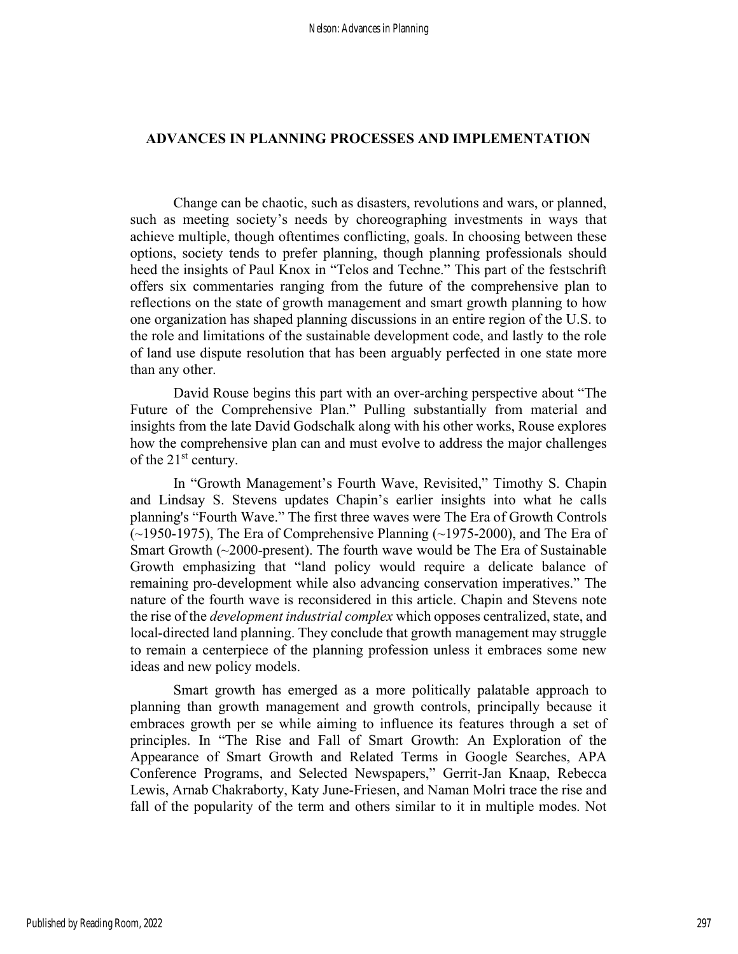## ADVANCES IN PLANNING PROCESSES AND IMPLEMENTATION

Change can be chaotic, such as disasters, revolutions and wars, or planned, such as meeting society's needs by choreographing investments in ways that achieve multiple, though oftentimes conflicting, goals. In choosing between these options, society tends to prefer planning, though planning professionals should heed the insights of Paul Knox in "Telos and Techne." This part of the festschrift offers six commentaries ranging from the future of the comprehensive plan to reflections on the state of growth management and smart growth planning to how one organization has shaped planning discussions in an entire region of the U.S. to the role and limitations of the sustainable development code, and lastly to the role of land use dispute resolution that has been arguably perfected in one state more than any other.

David Rouse begins this part with an over-arching perspective about "The Future of the Comprehensive Plan." Pulling substantially from material and insights from the late David Godschalk along with his other works, Rouse explores how the comprehensive plan can and must evolve to address the major challenges of the  $21<sup>st</sup>$  century.

In "Growth Management's Fourth Wave, Revisited," Timothy S. Chapin and Lindsay S. Stevens updates Chapin's earlier insights into what he calls planning's "Fourth Wave." The first three waves were The Era of Growth Controls  $(\sim$ 1950-1975), The Era of Comprehensive Planning ( $\sim$ 1975-2000), and The Era of Smart Growth (~2000-present). The fourth wave would be The Era of Sustainable Growth emphasizing that "land policy would require a delicate balance of remaining pro-development while also advancing conservation imperatives." The nature of the fourth wave is reconsidered in this article. Chapin and Stevens note the rise of the *development industrial complex* which opposes centralized, state, and local-directed land planning. They conclude that growth management may struggle to remain a centerpiece of the planning profession unless it embraces some new ideas and new policy models.

Smart growth has emerged as a more politically palatable approach to planning than growth management and growth controls, principally because it embraces growth per se while aiming to influence its features through a set of principles. In "The Rise and Fall of Smart Growth: An Exploration of the Appearance of Smart Growth and Related Terms in Google Searches, APA Conference Programs, and Selected Newspapers," Gerrit-Jan Knaap, Rebecca Lewis, Arnab Chakraborty, Katy June-Friesen, and Naman Molri trace the rise and fall of the popularity of the term and others similar to it in multiple modes. Not